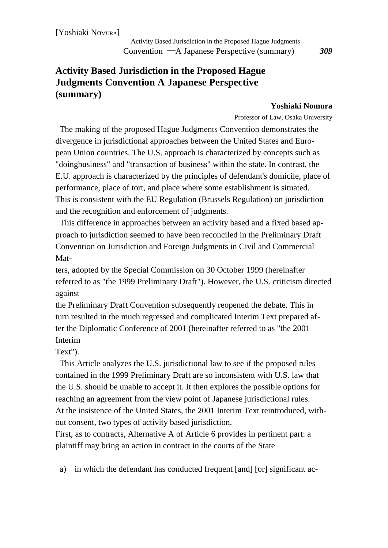[Yoshiaki NoMURA]

# **Activity Based Jurisdiction in the Proposed Hague Judgments Convention A Japanese Perspective (summary)**

### **Yoshiaki Nomura**

Professor of Law, Osaka University

The making of the proposed Hague Judgments Convention demonstrates the divergence in jurisdictional approaches between the United States and European Union countries. The U.S. approach is characterized by concepts such as "doingbusiness" and "transaction of business" within the state. In contrast, the E.U. approach is characterized by the principles of defendant's domicile, place of performance, place of tort, and place where some establishment is situated. This is consistent with the EU Regulation (Brussels Regulation) on jurisdiction and the recognition and enforcement of judgments.

This difference in approaches between an activity based and a fixed based approach to jurisdiction seemed to have been reconciled in the Preliminary Draft Convention on Jurisdiction and Foreign Judgments in Civil and Commercial Mat-

ters, adopted by the Special Commission on 30 October 1999 (hereinafter referred to as "the 1999 Preliminary Draft"). However, the U.S. criticism directed against

the Preliminary Draft Convention subsequently reopened the debate. This in turn resulted in the much regressed and complicated Interim Text prepared after the Diplomatic Conference of 2001 (hereinafter referred to as "the 2001 Interim

## Text").

This Article analyzes the U.S. jurisdictional law to see if the proposed rules contained in the 1999 Preliminary Draft are so inconsistent with U.S. law that the U.S. should be unable to accept it. It then explores the possible options for reaching an agreement from the view point of Japanese jurisdictional rules. At the insistence of the United States, the 2001 Interim Text reintroduced, without consent, two types of activity based jurisdiction.

First, as to contracts, Alternative A of Article 6 provides in pertinent part: a plaintiff may bring an action in contract in the courts of the State

a) in which the defendant has conducted frequent [and] [or] significant ac-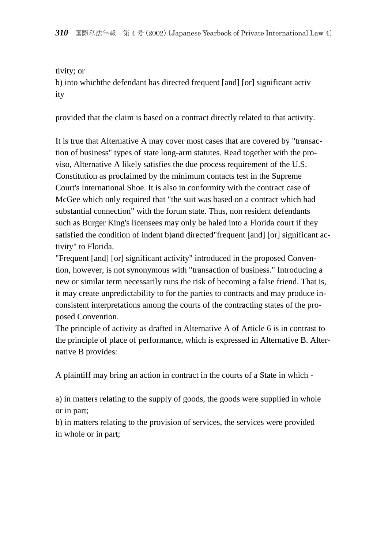### tivity; or

b) into whichthe defendant has directed frequent [and] [or] significant activ ity

provided that the claim is based on a contract directly related to that activity.

It is true that Alternative A may cover most cases that are covered by "transaction of business" types of state long-arm statutes. Read together with the proviso, Alternative A likely satisfies the due process requirement of the U.S. Constitution as proclaimed by the minimum contacts test in the Supreme Court's International Shoe. It is also in conformity with the contract case of McGee which only required that "the suit was based on a contract which had substantial connection" with the forum state. Thus, non resident defendants such as Burger King's licensees may only be haled into a Florida court if they satisfied the condition of indent b)and directed"frequent [and] [or] significant activity" to Florida.

"Frequent [and] [or] significant activity" introduced in the proposed Convention, however, is not synonymous with "transaction of business." Introducing a new or similar term necessarily runs the risk of becoming a false friend. That is, it may create unpredictability to for the parties to contracts and may produce inconsistent interpretations among the courts of the contracting states of the proposed Convention.

The principle of activity as drafted in Alternative A of Article 6 is in contrast to the principle of place of performance, which is expressed in Alternative B. Alternative B provides:

A plaintiff may bring an action in contract in the courts of a State in which -

a) in matters relating to the supply of goods, the goods were supplied in whole or in part;

b) in matters relating to the provision of services, the services were provided in whole or in part;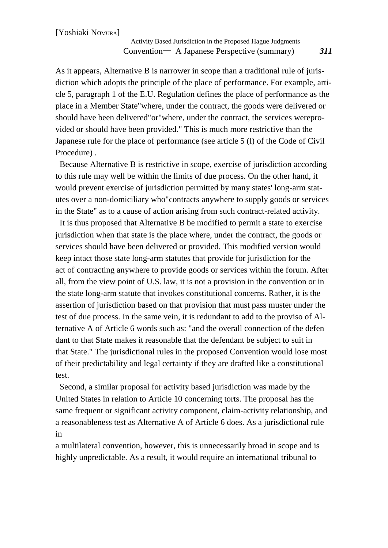#### Activity Based Jurisdiction in the Proposed Hague Judgments Convention― A Japanese Perspective (summary) *311*

As it appears, Alternative B is narrower in scope than a traditional rule of jurisdiction which adopts the principle of the place of performance. For example, article 5, paragraph 1 of the E.U. Regulation defines the place of performance as the place in a Member State"where, under the contract, the goods were delivered or should have been delivered"or"where, under the contract, the services wereprovided or should have been provided." This is much more restrictive than the Japanese rule for the place of performance (see article 5 (l) of the Code of Civil Procedure) .

Because Alternative B is restrictive in scope, exercise of jurisdiction according to this rule may well be within the limits of due process. On the other hand, it would prevent exercise of jurisdiction permitted by many states' long-arm statutes over a non-domiciliary who"contracts anywhere to supply goods or services in the State" as to a cause of action arising from such contract-related activity.

It is thus proposed that Alternative B be modified to permit a state to exercise jurisdiction when that state is the place where, under the contract, the goods or services should have been delivered or provided. This modified version would keep intact those state long-arm statutes that provide for jurisdiction for the act of contracting anywhere to provide goods or services within the forum. After all, from the view point of U.S. law, it is not a provision in the convention or in the state long-arm statute that invokes constitutional concerns. Rather, it is the assertion of jurisdiction based on that provision that must pass muster under the test of due process. In the same vein, it is redundant to add to the proviso of Alternative A of Article 6 words such as: "and the overall connection of the defen dant to that State makes it reasonable that the defendant be subject to suit in that State." The jurisdictional rules in the proposed Convention would lose most of their predictability and legal certainty if they are drafted like a constitutional test.

Second, a similar proposal for activity based jurisdiction was made by the United States in relation to Article 10 concerning torts. The proposal has the same frequent or significant activity component, claim-activity relationship, and a reasonableness test as Alternative A of Article 6 does. As a jurisdictional rule in

a multilateral convention, however, this is unnecessarily broad in scope and is highly unpredictable. As a result, it would require an international tribunal to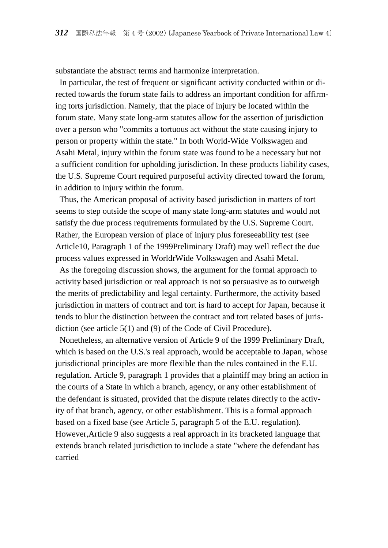substantiate the abstract terms and harmonize interpretation.

In particular, the test of frequent or significant activity conducted within or directed towards the forum state fails to address an important condition for affirming torts jurisdiction. Namely, that the place of injury be located within the forum state. Many state long-arm statutes allow for the assertion of jurisdiction over a person who "commits a tortuous act without the state causing injury to person or property within the state." In both World-Wide Volkswagen and Asahi Metal, injury within the forum state was found to be a necessary but not a sufficient condition for upholding jurisdiction. In these products liability cases, the U.S. Supreme Court required purposeful activity directed toward the forum, in addition to injury within the forum.

Thus, the American proposal of activity based jurisdiction in matters of tort seems to step outside the scope of many state long-arm statutes and would not satisfy the due process requirements formulated by the U.S. Supreme Court. Rather, the European version of place of injury plus foreseeability test (see Article10, Paragraph 1 of the 1999Preliminary Draft) may well reflect the due process values expressed in WorldrWide Volkswagen and Asahi Metal.

As the foregoing discussion shows, the argument for the formal approach to activity based jurisdiction or real approach is not so persuasive as to outweigh the merits of predictability and legal certainty. Furthermore, the activity based jurisdiction in matters of contract and tort is hard to accept for Japan, because it tends to blur the distinction between the contract and tort related bases of jurisdiction (see article 5(1) and (9) of the Code of Civil Procedure).

Nonetheless, an alternative version of Article 9 of the 1999 Preliminary Draft, which is based on the U.S.'s real approach, would be acceptable to Japan, whose jurisdictional principles are more flexible than the rules contained in the E.U. regulation. Article 9, paragraph 1 provides that a plaintiff may bring an action in the courts of a State in which a branch, agency, or any other establishment of the defendant is situated, provided that the dispute relates directly to the activity of that branch, agency, or other establishment. This is a formal approach based on a fixed base (see Article 5, paragraph 5 of the E.U. regulation). However,Article 9 also suggests a real approach in its bracketed language that extends branch related jurisdiction to include a state "where the defendant has carried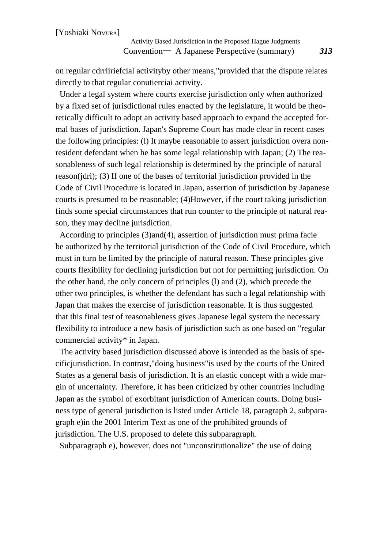Activity Based Jurisdiction in the Proposed Hague Judgments Convention― A Japanese Perspective (summary) *313*

on regular cdrriiriefcial activityby other means,"provided that the dispute relates directly to that regular conutierciai activity.

Under a legal system where courts exercise jurisdiction only when authorized by a fixed set of jurisdictional rules enacted by the legislature, it would be theoretically difficult to adopt an activity based approach to expand the accepted formal bases of jurisdiction. Japan's Supreme Court has made clear in recent cases the following principles: (l) It maybe reasonable to assert jurisdiction overa nonresident defendant when he has some legal relationship with Japan; (2) The reasonableness of such legal relationship is determined by the principle of natural reason(jdri); (3) If one of the bases of territorial jurisdiction provided in the Code of Civil Procedure is located in Japan, assertion of jurisdiction by Japanese courts is presumed to be reasonable; (4)However, if the court taking jurisdiction finds some special circumstances that run counter to the principle of natural reason, they may decline jurisdiction.

According to principles (3)and(4), assertion of jurisdiction must prima facie be authorized by the territorial jurisdiction of the Code of Civil Procedure, which must in turn be limited by the principle of natural reason. These principles give courts flexibility for declining jurisdiction but not for permitting jurisdiction. On the other hand, the only concern of principles (l) and (2), which precede the other two principles, is whether the defendant has such a legal relationship with Japan that makes the exercise of jurisdiction reasonable. It is thus suggested that this final test of reasonableness gives Japanese legal system the necessary flexibility to introduce a new basis of jurisdiction such as one based on "regular commercial activity\* in Japan.

The activity based jurisdiction discussed above is intended as the basis of specificjurisdiction. In contrast,"doing business"is used by the courts of the United States as a general basis of jurisdiction. It is an elastic concept with a wide margin of uncertainty. Therefore, it has been criticized by other countries including Japan as the symbol of exorbitant jurisdiction of American courts. Doing business type of general jurisdiction is listed under Article 18, paragraph 2, subparagraph e)in the 2001 Interim Text as one of the prohibited grounds of jurisdiction. The U.S. proposed to delete this subparagraph.

Subparagraph e), however, does not "unconstitutionalize" the use of doing